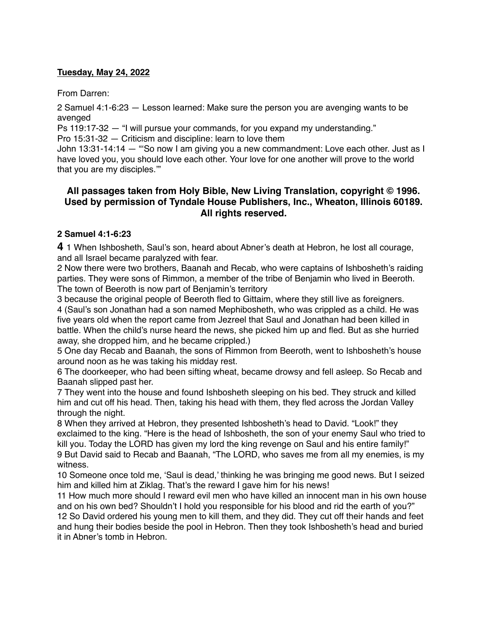### **Tuesday, May 24, 2022**

From Darren:

2 Samuel 4:1-6:23 — Lesson learned: Make sure the person you are avenging wants to be avenged

Ps 119:17-32 — "I will pursue your commands, for you expand my understanding." Pro 15:31-32 — Criticism and discipline: learn to love them

John 13:31-14:14 — "So now I am giving you a new commandment: Love each other. Just as I have loved you, you should love each other. Your love for one another will prove to the world that you are my disciples.'"

# **All passages taken from Holy Bible, [New Living Translation](http://www.newlivingtranslation.com/), copyright © 1996. Used by permission of [Tyndale House Publishers](http://tyndale.com/), Inc., Wheaton, Illinois 60189. All rights reserved.**

#### **2 Samuel 4:1-6:23**

**4** 1 When Ishbosheth, Saul's son, heard about Abner's death at Hebron, he lost all courage, and all Israel became paralyzed with fear.

2 Now there were two brothers, Baanah and Recab, who were captains of Ishbosheth's raiding parties. They were sons of Rimmon, a member of the tribe of Benjamin who lived in Beeroth. The town of Beeroth is now part of Benjamin's territory

3 because the original people of Beeroth fled to Gittaim, where they still live as foreigners. 4 (Saul's son Jonathan had a son named Mephibosheth, who was crippled as a child. He was five years old when the report came from Jezreel that Saul and Jonathan had been killed in battle. When the child's nurse heard the news, she picked him up and fled. But as she hurried away, she dropped him, and he became crippled.)

5 One day Recab and Baanah, the sons of Rimmon from Beeroth, went to Ishbosheth's house around noon as he was taking his midday rest.

6 The doorkeeper, who had been sifting wheat, became drowsy and fell asleep. So Recab and Baanah slipped past her.

7 They went into the house and found Ishbosheth sleeping on his bed. They struck and killed him and cut off his head. Then, taking his head with them, they fled across the Jordan Valley through the night.

8 When they arrived at Hebron, they presented Ishbosheth's head to David. "Look!" they exclaimed to the king. "Here is the head of Ishbosheth, the son of your enemy Saul who tried to kill you. Today the LORD has given my lord the king revenge on Saul and his entire family!" 9 But David said to Recab and Baanah, "The LORD, who saves me from all my enemies, is my witness.

10 Someone once told me, 'Saul is dead,' thinking he was bringing me good news. But I seized him and killed him at Ziklag. That's the reward I gave him for his news!

11 How much more should I reward evil men who have killed an innocent man in his own house and on his own bed? Shouldn't I hold you responsible for his blood and rid the earth of you?"

12 So David ordered his young men to kill them, and they did. They cut off their hands and feet and hung their bodies beside the pool in Hebron. Then they took Ishbosheth's head and buried it in Abner's tomb in Hebron.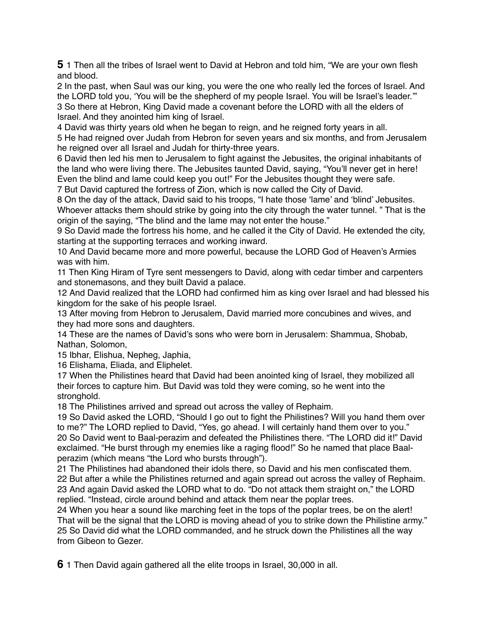**5** 1 Then all the tribes of Israel went to David at Hebron and told him, "We are your own flesh and blood.

2 In the past, when Saul was our king, you were the one who really led the forces of Israel. And the LORD told you, 'You will be the shepherd of my people Israel. You will be Israel's leader.'" 3 So there at Hebron, King David made a covenant before the LORD with all the elders of Israel. And they anointed him king of Israel.

4 David was thirty years old when he began to reign, and he reigned forty years in all. 5 He had reigned over Judah from Hebron for seven years and six months, and from Jerusalem he reigned over all Israel and Judah for thirty-three years.

6 David then led his men to Jerusalem to fight against the Jebusites, the original inhabitants of the land who were living there. The Jebusites taunted David, saying, "You'll never get in here! Even the blind and lame could keep you out!" For the Jebusites thought they were safe.

7 But David captured the fortress of Zion, which is now called the City of David.

8 On the day of the attack, David said to his troops, "I hate those 'lame' and 'blind' Jebusites. Whoever attacks them should strike by going into the city through the water tunnel. " That is the origin of the saying, "The blind and the lame may not enter the house."

9 So David made the fortress his home, and he called it the City of David. He extended the city, starting at the supporting terraces and working inward.

10 And David became more and more powerful, because the LORD God of Heaven's Armies was with him.

11 Then King Hiram of Tyre sent messengers to David, along with cedar timber and carpenters and stonemasons, and they built David a palace.

12 And David realized that the LORD had confirmed him as king over Israel and had blessed his kingdom for the sake of his people Israel.

13 After moving from Hebron to Jerusalem, David married more concubines and wives, and they had more sons and daughters.

14 These are the names of David's sons who were born in Jerusalem: Shammua, Shobab, Nathan, Solomon,

15 Ibhar, Elishua, Nepheg, Japhia,

16 Elishama, Eliada, and Eliphelet.

17 When the Philistines heard that David had been anointed king of Israel, they mobilized all their forces to capture him. But David was told they were coming, so he went into the stronghold.

18 The Philistines arrived and spread out across the valley of Rephaim.

19 So David asked the LORD, "Should I go out to fight the Philistines? Will you hand them over to me?" The LORD replied to David, "Yes, go ahead. I will certainly hand them over to you." 20 So David went to Baal-perazim and defeated the Philistines there. "The LORD did it!" David exclaimed. "He burst through my enemies like a raging flood!" So he named that place Baalperazim (which means "the Lord who bursts through").

 The Philistines had abandoned their idols there, so David and his men confiscated them. But after a while the Philistines returned and again spread out across the valley of Rephaim. And again David asked the LORD what to do. "Do not attack them straight on," the LORD replied. "Instead, circle around behind and attack them near the poplar trees.

24 When you hear a sound like marching feet in the tops of the poplar trees, be on the alert! That will be the signal that the LORD is moving ahead of you to strike down the Philistine army." 25 So David did what the LORD commanded, and he struck down the Philistines all the way from Gibeon to Gezer.

**6** 1 Then David again gathered all the elite troops in Israel, 30,000 in all.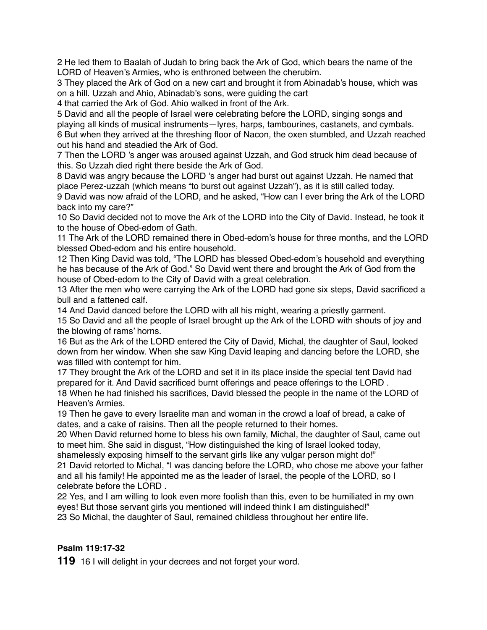2 He led them to Baalah of Judah to bring back the Ark of God, which bears the name of the LORD of Heaven's Armies, who is enthroned between the cherubim.

3 They placed the Ark of God on a new cart and brought it from Abinadab's house, which was on a hill. Uzzah and Ahio, Abinadab's sons, were guiding the cart

4 that carried the Ark of God. Ahio walked in front of the Ark.

5 David and all the people of Israel were celebrating before the LORD, singing songs and playing all kinds of musical instruments—lyres, harps, tambourines, castanets, and cymbals. 6 But when they arrived at the threshing floor of Nacon, the oxen stumbled, and Uzzah reached out his hand and steadied the Ark of God.

7 Then the LORD 's anger was aroused against Uzzah, and God struck him dead because of this. So Uzzah died right there beside the Ark of God.

8 David was angry because the LORD 's anger had burst out against Uzzah. He named that place Perez-uzzah (which means "to burst out against Uzzah"), as it is still called today.

9 David was now afraid of the LORD, and he asked, "How can I ever bring the Ark of the LORD back into my care?"

10 So David decided not to move the Ark of the LORD into the City of David. Instead, he took it to the house of Obed-edom of Gath.

11 The Ark of the LORD remained there in Obed-edom's house for three months, and the LORD blessed Obed-edom and his entire household.

12 Then King David was told, "The LORD has blessed Obed-edom's household and everything he has because of the Ark of God." So David went there and brought the Ark of God from the house of Obed-edom to the City of David with a great celebration.

13 After the men who were carrying the Ark of the LORD had gone six steps, David sacrificed a bull and a fattened calf.

14 And David danced before the LORD with all his might, wearing a priestly garment.

15 So David and all the people of Israel brought up the Ark of the LORD with shouts of joy and the blowing of rams' horns.

16 But as the Ark of the LORD entered the City of David, Michal, the daughter of Saul, looked down from her window. When she saw King David leaping and dancing before the LORD, she was filled with contempt for him.

17 They brought the Ark of the LORD and set it in its place inside the special tent David had prepared for it. And David sacrificed burnt offerings and peace offerings to the LORD .

18 When he had finished his sacrifices, David blessed the people in the name of the LORD of Heaven's Armies.

19 Then he gave to every Israelite man and woman in the crowd a loaf of bread, a cake of dates, and a cake of raisins. Then all the people returned to their homes.

20 When David returned home to bless his own family, Michal, the daughter of Saul, came out to meet him. She said in disgust, "How distinguished the king of Israel looked today, shamelessly exposing himself to the servant girls like any vulgar person might do!"

21 David retorted to Michal, "I was dancing before the LORD, who chose me above your father and all his family! He appointed me as the leader of Israel, the people of the LORD, so I celebrate before the LORD .

22 Yes, and I am willing to look even more foolish than this, even to be humiliated in my own eyes! But those servant girls you mentioned will indeed think I am distinguished!" 23 So Michal, the daughter of Saul, remained childless throughout her entire life.

#### **Psalm 119:17-32**

**119** 16 I will delight in your decrees and not forget your word.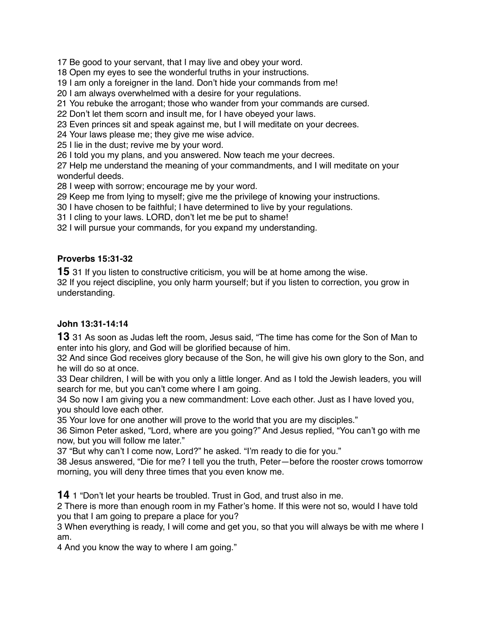Be good to your servant, that I may live and obey your word.

Open my eyes to see the wonderful truths in your instructions.

I am only a foreigner in the land. Don't hide your commands from me!

I am always overwhelmed with a desire for your regulations.

You rebuke the arrogant; those who wander from your commands are cursed.

Don't let them scorn and insult me, for I have obeyed your laws.

Even princes sit and speak against me, but I will meditate on your decrees.

Your laws please me; they give me wise advice.

I lie in the dust; revive me by your word.

I told you my plans, and you answered. Now teach me your decrees.

 Help me understand the meaning of your commandments, and I will meditate on your wonderful deeds.

I weep with sorrow; encourage me by your word.

Keep me from lying to myself; give me the privilege of knowing your instructions.

I have chosen to be faithful; I have determined to live by your regulations.

I cling to your laws. LORD, don't let me be put to shame!

I will pursue your commands, for you expand my understanding.

# **Proverbs 15:31-32**

31 If you listen to constructive criticism, you will be at home among the wise.

 If you reject discipline, you only harm yourself; but if you listen to correction, you grow in understanding.

#### **John 13:31-14:14**

31 As soon as Judas left the room, Jesus said, "The time has come for the Son of Man to enter into his glory, and God will be glorified because of him.

 And since God receives glory because of the Son, he will give his own glory to the Son, and he will do so at once.

 Dear children, I will be with you only a little longer. And as I told the Jewish leaders, you will search for me, but you can't come where I am going.

 So now I am giving you a new commandment: Love each other. Just as I have loved you, you should love each other.

Your love for one another will prove to the world that you are my disciples."

 Simon Peter asked, "Lord, where are you going?" And Jesus replied, "You can't go with me now, but you will follow me later."

"But why can't I come now, Lord?" he asked. "I'm ready to die for you."

 Jesus answered, "Die for me? I tell you the truth, Peter—before the rooster crows tomorrow morning, you will deny three times that you even know me.

1 "Don't let your hearts be troubled. Trust in God, and trust also in me.

 There is more than enough room in my Father's home. If this were not so, would I have told you that I am going to prepare a place for you?

 When everything is ready, I will come and get you, so that you will always be with me where I am.

And you know the way to where I am going."